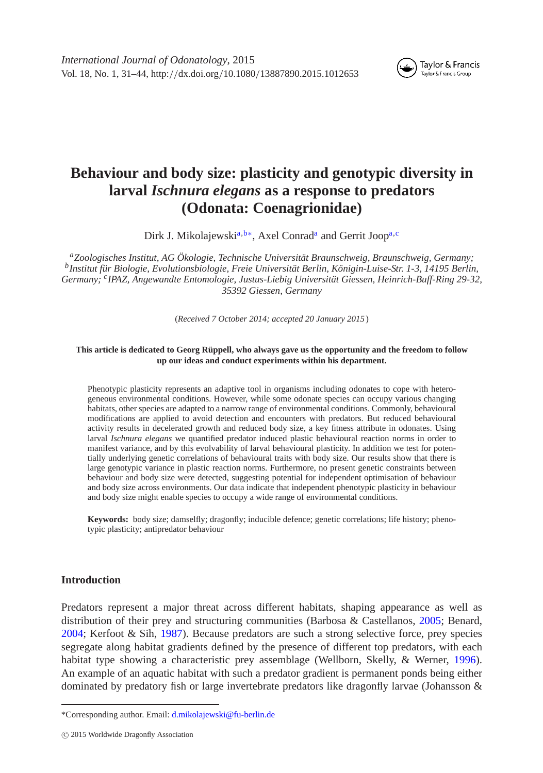

# **Behaviour and body size: plasticity and genotypic diversity in larval** *Ischnura elegans* **as a response to predators (Odonata: Coenagrionidae)**

Dirk J. Mikolajewski<sup>a,[b](#page-0-1)[∗](#page-0-2)</sup>, Axel Conrad<sup>a</sup> and Gerrit Joop<sup>a[,c](#page-0-3)</sup>

<span id="page-0-3"></span><span id="page-0-1"></span><span id="page-0-0"></span>*aZoologisches Institut, AG Ökologie, Technische Universität Braunschweig, Braunschweig, Germany; bInstitut für Biologie, Evolutionsbiologie, Freie Universität Berlin, Königin-Luise-Str. 1-3, 14195 Berlin, Germany; cIPAZ, Angewandte Entomologie, Justus-Liebig Universität Giessen, Heinrich-Buff-Ring 29-32, 35392 Giessen, Germany*

(*Received 7 October 2014; accepted 20 January 2015*)

#### **This article is dedicated to Georg Rüppell, who always gave us the opportunity and the freedom to follow up our ideas and conduct experiments within his department.**

Phenotypic plasticity represents an adaptive tool in organisms including odonates to cope with heterogeneous environmental conditions. However, while some odonate species can occupy various changing habitats, other species are adapted to a narrow range of environmental conditions. Commonly, behavioural modifications are applied to avoid detection and encounters with predators. But reduced behavioural activity results in decelerated growth and reduced body size, a key fitness attribute in odonates. Using larval *Ischnura elegans* we quantified predator induced plastic behavioural reaction norms in order to manifest variance, and by this evolvability of larval behavioural plasticity. In addition we test for potentially underlying genetic correlations of behavioural traits with body size. Our results show that there is large genotypic variance in plastic reaction norms. Furthermore, no present genetic constraints between behaviour and body size were detected, suggesting potential for independent optimisation of behaviour and body size across environments. Our data indicate that independent phenotypic plasticity in behaviour and body size might enable species to occupy a wide range of environmental conditions.

**Keywords:** body size; damselfly; dragonfly; inducible defence; genetic correlations; life history; phenotypic plasticity; antipredator behaviour

## **Introduction**

Predators represent a major threat across different habitats, shaping appearance as well as distribution of their prey and structuring communities (Barbosa & Castellanos, [2005;](#page-11-0) Benard, [2004;](#page-11-1) Kerfoot & Sih, [1987\)](#page-11-2). Because predators are such a strong selective force, prey species segregate along habitat gradients defined by the presence of different top predators, with each habitat type showing a characteristic prey assemblage (Wellborn, Skelly, & Werner, [1996\)](#page-13-0). An example of an aquatic habitat with such a predator gradient is permanent ponds being either dominated by predatory fish or large invertebrate predators like dragonfly larvae (Johansson &

<span id="page-0-2"></span><sup>\*</sup>Corresponding author. Email: [d.mikolajewski@fu-berlin.de](mailto:d.mikolajewski@fu-berlin.de)

c 2015 Worldwide Dragonfly Association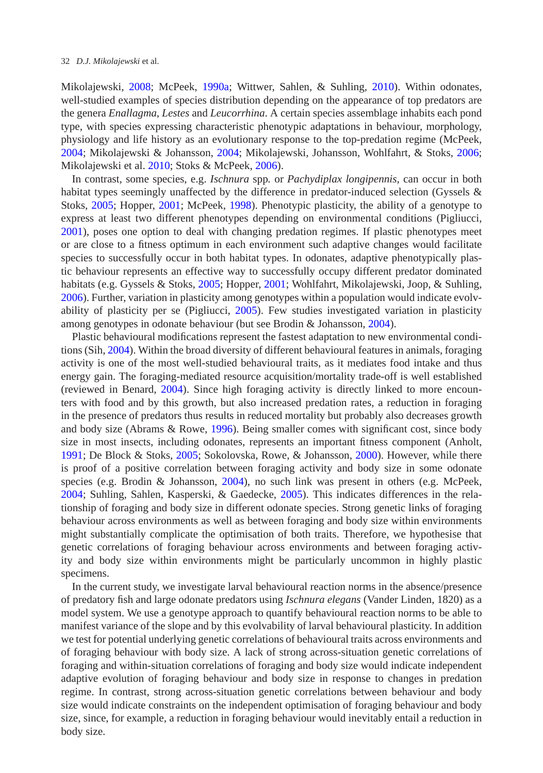Mikolajewski, [2008;](#page-11-3) McPeek, [1990a;](#page-11-4) Wittwer, Sahlen, & Suhling, [2010\)](#page-13-1). Within odonates, well-studied examples of species distribution depending on the appearance of top predators are the genera *Enallagma*, *Lestes* and *Leucorrhina*. A certain species assemblage inhabits each pond type, with species expressing characteristic phenotypic adaptations in behaviour, morphology, physiology and life history as an evolutionary response to the top-predation regime (McPeek, [2004;](#page-12-0) Mikolajewski & Johansson, [2004;](#page-12-1) Mikolajewski, Johansson, Wohlfahrt, & Stoks, [2006;](#page-12-2) Mikolajewski et al. [2010;](#page-12-3) Stoks & McPeek, [2006\)](#page-12-4).

In contrast, some species, e.g. *Ischnura* spp*.* or *Pachydiplax longipennis*, can occur in both habitat types seemingly unaffected by the difference in predator-induced selection (Gyssels & Stoks, [2005;](#page-11-5) Hopper, [2001;](#page-11-6) McPeek, [1998\)](#page-11-7). Phenotypic plasticity, the ability of a genotype to express at least two different phenotypes depending on environmental conditions (Pigliucci, [2001\)](#page-12-5), poses one option to deal with changing predation regimes. If plastic phenotypes meet or are close to a fitness optimum in each environment such adaptive changes would facilitate species to successfully occur in both habitat types. In odonates, adaptive phenotypically plastic behaviour represents an effective way to successfully occupy different predator dominated habitats (e.g. Gyssels & Stoks, [2005;](#page-11-5) Hopper, [2001;](#page-11-6) Wohlfahrt, Mikolajewski, Joop, & Suhling, [2006\)](#page-13-2). Further, variation in plasticity among genotypes within a population would indicate evolvability of plasticity per se (Pigliucci, [2005\)](#page-12-6). Few studies investigated variation in plasticity among genotypes in odonate behaviour (but see Brodin & Johansson, [2004\)](#page-11-8).

Plastic behavioural modifications represent the fastest adaptation to new environmental conditions (Sih, [2004\)](#page-12-7). Within the broad diversity of different behavioural features in animals, foraging activity is one of the most well-studied behavioural traits, as it mediates food intake and thus energy gain. The foraging-mediated resource acquisition/mortality trade-off is well established (reviewed in Benard, [2004\)](#page-11-1). Since high foraging activity is directly linked to more encounters with food and by this growth, but also increased predation rates, a reduction in foraging in the presence of predators thus results in reduced mortality but probably also decreases growth and body size (Abrams & Rowe, [1996\)](#page-11-9). Being smaller comes with significant cost, since body size in most insects, including odonates, represents an important fitness component (Anholt, [1991;](#page-11-10) De Block & Stoks, [2005;](#page-11-11) Sokolovska, Rowe, & Johansson, [2000\)](#page-12-8). However, while there is proof of a positive correlation between foraging activity and body size in some odonate species (e.g. Brodin & Johansson, [2004\)](#page-11-8), no such link was present in others (e.g. McPeek, [2004;](#page-12-0) Suhling, Sahlen, Kasperski, & Gaedecke, [2005\)](#page-13-3). This indicates differences in the relationship of foraging and body size in different odonate species. Strong genetic links of foraging behaviour across environments as well as between foraging and body size within environments might substantially complicate the optimisation of both traits. Therefore, we hypothesise that genetic correlations of foraging behaviour across environments and between foraging activity and body size within environments might be particularly uncommon in highly plastic specimens.

In the current study, we investigate larval behavioural reaction norms in the absence/presence of predatory fish and large odonate predators using *Ischnura elegans* (Vander Linden, 1820) as a model system. We use a genotype approach to quantify behavioural reaction norms to be able to manifest variance of the slope and by this evolvability of larval behavioural plasticity. In addition we test for potential underlying genetic correlations of behavioural traits across environments and of foraging behaviour with body size. A lack of strong across-situation genetic correlations of foraging and within-situation correlations of foraging and body size would indicate independent adaptive evolution of foraging behaviour and body size in response to changes in predation regime. In contrast, strong across-situation genetic correlations between behaviour and body size would indicate constraints on the independent optimisation of foraging behaviour and body size, since, for example, a reduction in foraging behaviour would inevitably entail a reduction in body size.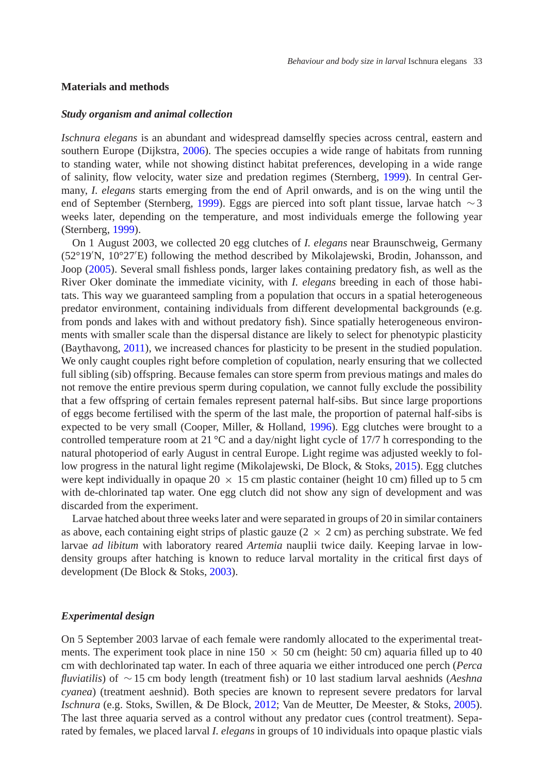## **Materials and methods**

### *Study organism and animal collection*

*Ischnura elegans* is an abundant and widespread damselfly species across central, eastern and southern Europe (Dijkstra, [2006\)](#page-11-12). The species occupies a wide range of habitats from running to standing water, while not showing distinct habitat preferences, developing in a wide range of salinity, flow velocity, water size and predation regimes (Sternberg, [1999\)](#page-12-9). In central Germany, *I. elegans* starts emerging from the end of April onwards, and is on the wing until the end of September (Sternberg, [1999\)](#page-12-9). Eggs are pierced into soft plant tissue, larvae hatch ∼3 weeks later, depending on the temperature, and most individuals emerge the following year (Sternberg, [1999\)](#page-12-9).

On 1 August 2003, we collected 20 egg clutches of *I. elegans* near Braunschweig, Germany (52°19 N, 10°27 E) following the method described by Mikolajewski, Brodin, Johansson, and Joop [\(2005\)](#page-12-10). Several small fishless ponds, larger lakes containing predatory fish, as well as the River Oker dominate the immediate vicinity, with *I. elegans* breeding in each of those habitats. This way we guaranteed sampling from a population that occurs in a spatial heterogeneous predator environment, containing individuals from different developmental backgrounds (e.g. from ponds and lakes with and without predatory fish). Since spatially heterogeneous environments with smaller scale than the dispersal distance are likely to select for phenotypic plasticity (Baythavong, [2011\)](#page-11-13), we increased chances for plasticity to be present in the studied population. We only caught couples right before completion of copulation, nearly ensuring that we collected full sibling (sib) offspring. Because females can store sperm from previous matings and males do not remove the entire previous sperm during copulation, we cannot fully exclude the possibility that a few offspring of certain females represent paternal half-sibs. But since large proportions of eggs become fertilised with the sperm of the last male, the proportion of paternal half-sibs is expected to be very small (Cooper, Miller, & Holland, [1996\)](#page-11-14). Egg clutches were brought to a controlled temperature room at 21  $^{\circ}$ C and a day/night light cycle of 17/7 h corresponding to the natural photoperiod of early August in central Europe. Light regime was adjusted weekly to follow progress in the natural light regime (Mikolajewski, De Block, & Stoks, [2015\)](#page-12-11). Egg clutches were kept individually in opaque 20  $\times$  15 cm plastic container (height 10 cm) filled up to 5 cm with de-chlorinated tap water. One egg clutch did not show any sign of development and was discarded from the experiment.

Larvae hatched about three weeks later and were separated in groups of 20 in similar containers as above, each containing eight strips of plastic gauze  $(2 \times 2 \text{ cm})$  as perching substrate. We fed larvae *ad libitum* with laboratory reared *Artemia* nauplii twice daily. Keeping larvae in lowdensity groups after hatching is known to reduce larval mortality in the critical first days of development (De Block & Stoks, [2003\)](#page-11-15).

## *Experimental design*

On 5 September 2003 larvae of each female were randomly allocated to the experimental treatments. The experiment took place in nine  $150 \times 50$  cm (height: 50 cm) aquaria filled up to 40 cm with dechlorinated tap water. In each of three aquaria we either introduced one perch (*Perca fluviatilis*) of ∼15 cm body length (treatment fish) or 10 last stadium larval aeshnids (*Aeshna cyanea*) (treatment aeshnid). Both species are known to represent severe predators for larval *Ischnura* (e.g. Stoks, Swillen, & De Block, [2012;](#page-12-12) Van de Meutter, De Meester, & Stoks, [2005\)](#page-13-4). The last three aquaria served as a control without any predator cues (control treatment). Separated by females, we placed larval *I. elegans* in groups of 10 individuals into opaque plastic vials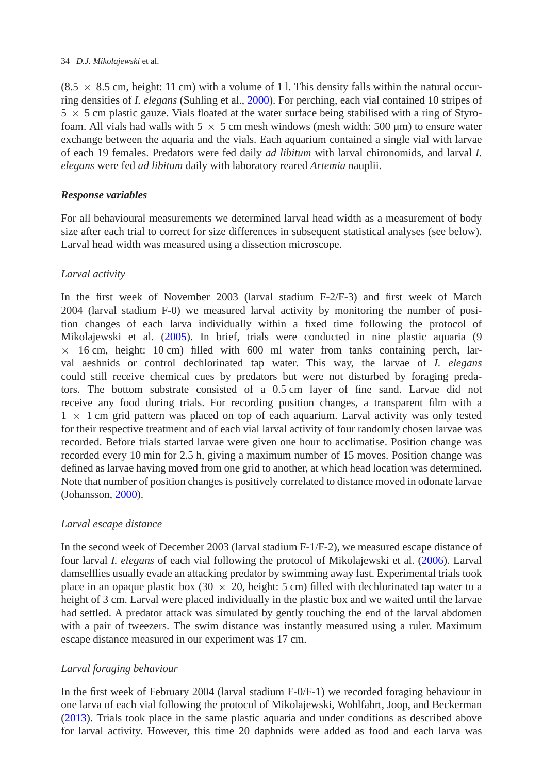#### 34 *D.J. Mikolajewski* et al.

 $(8.5 \times 8.5 \text{ cm}$ , height: 11 cm) with a volume of 11. This density falls within the natural occurring densities of *I. elegans* (Suhling et al., [2000\)](#page-12-13). For perching, each vial contained 10 stripes of  $5 \times 5$  cm plastic gauze. Vials floated at the water surface being stabilised with a ring of Styrofoam. All vials had walls with 5  $\times$  5 cm mesh windows (mesh width: 500 µm) to ensure water exchange between the aquaria and the vials. Each aquarium contained a single vial with larvae of each 19 females. Predators were fed daily *ad libitum* with larval chironomids, and larval *I. elegans* were fed *ad libitum* daily with laboratory reared *Artemia* nauplii.

# *Response variables*

For all behavioural measurements we determined larval head width as a measurement of body size after each trial to correct for size differences in subsequent statistical analyses (see below). Larval head width was measured using a dissection microscope.

# *Larval activity*

In the first week of November 2003 (larval stadium F-2/F-3) and first week of March 2004 (larval stadium F-0) we measured larval activity by monitoring the number of position changes of each larva individually within a fixed time following the protocol of Mikolajewski et al. [\(2005\)](#page-12-10). In brief, trials were conducted in nine plastic aquaria (9  $\times$  16 cm, height: 10 cm) filled with 600 ml water from tanks containing perch, larval aeshnids or control dechlorinated tap water. This way, the larvae of *I. elegans* could still receive chemical cues by predators but were not disturbed by foraging predators. The bottom substrate consisted of a 0.5 cm layer of fine sand. Larvae did not receive any food during trials. For recording position changes, a transparent film with a  $1 \times 1$  cm grid pattern was placed on top of each aquarium. Larval activity was only tested for their respective treatment and of each vial larval activity of four randomly chosen larvae was recorded. Before trials started larvae were given one hour to acclimatise. Position change was recorded every 10 min for 2.5 h, giving a maximum number of 15 moves. Position change was defined as larvae having moved from one grid to another, at which head location was determined. Note that number of position changes is positively correlated to distance moved in odonate larvae (Johansson, [2000\)](#page-11-16).

# *Larval escape distance*

In the second week of December 2003 (larval stadium F-1/F-2), we measured escape distance of four larval *I. elegans* of each vial following the protocol of Mikolajewski et al. [\(2006\)](#page-12-2). Larval damselflies usually evade an attacking predator by swimming away fast. Experimental trials took place in an opaque plastic box (30  $\times$  20, height: 5 cm) filled with dechlorinated tap water to a height of 3 cm. Larval were placed individually in the plastic box and we waited until the larvae had settled. A predator attack was simulated by gently touching the end of the larval abdomen with a pair of tweezers. The swim distance was instantly measured using a ruler. Maximum escape distance measured in our experiment was 17 cm.

# *Larval foraging behaviour*

In the first week of February 2004 (larval stadium F-0/F-1) we recorded foraging behaviour in one larva of each vial following the protocol of Mikolajewski, Wohlfahrt, Joop, and Beckerman [\(2013\)](#page-12-14). Trials took place in the same plastic aquaria and under conditions as described above for larval activity. However, this time 20 daphnids were added as food and each larva was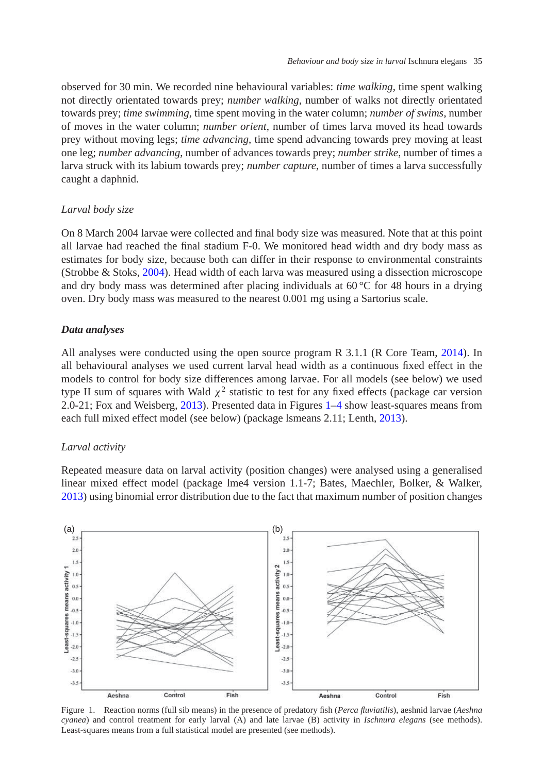observed for 30 min. We recorded nine behavioural variables: *time walking*, time spent walking not directly orientated towards prey; *number walking*, number of walks not directly orientated towards prey; *time swimming*, time spent moving in the water column; *number of swims*, number of moves in the water column; *number orient*, number of times larva moved its head towards prey without moving legs; *time advancing*, time spend advancing towards prey moving at least one leg; *number advancing*, number of advances towards prey; *number strike*, number of times a larva struck with its labium towards prey; *number capture*, number of times a larva successfully caught a daphnid.

## *Larval body size*

On 8 March 2004 larvae were collected and final body size was measured. Note that at this point all larvae had reached the final stadium F-0. We monitored head width and dry body mass as estimates for body size, because both can differ in their response to environmental constraints (Strobbe & Stoks, [2004\)](#page-12-15). Head width of each larva was measured using a dissection microscope and dry body mass was determined after placing individuals at  $60^{\circ}$ C for 48 hours in a drying oven. Dry body mass was measured to the nearest 0.001 mg using a Sartorius scale.

#### *Data analyses*

All analyses were conducted using the open source program R 3.1.1 (R Core Team, [2014\)](#page-12-16). In all behavioural analyses we used current larval head width as a continuous fixed effect in the models to control for body size differences among larvae. For all models (see below) we used type II sum of squares with Wald  $\chi^2$  statistic to test for any fixed effects (package car version 2.0-21; Fox and Weisberg, [2013\)](#page-11-17). Presented data in Figures [1–](#page-4-0)[4](#page-8-0) show least-squares means from each full mixed effect model (see below) (package lsmeans 2.11; Lenth, [2013\)](#page-11-18).

### *Larval activity*

Repeated measure data on larval activity (position changes) were analysed using a generalised linear mixed effect model (package lme4 version 1.1-7; Bates, Maechler, Bolker, & Walker, [2013\)](#page-11-19) using binomial error distribution due to the fact that maximum number of position changes



<span id="page-4-0"></span>Figure 1. Reaction norms (full sib means) in the presence of predatory fish (*Perca fluviatilis*), aeshnid larvae (*Aeshna cyanea*) and control treatment for early larval (A) and late larvae (B) activity in *Ischnura elegans* (see methods). Least-squares means from a full statistical model are presented (see methods).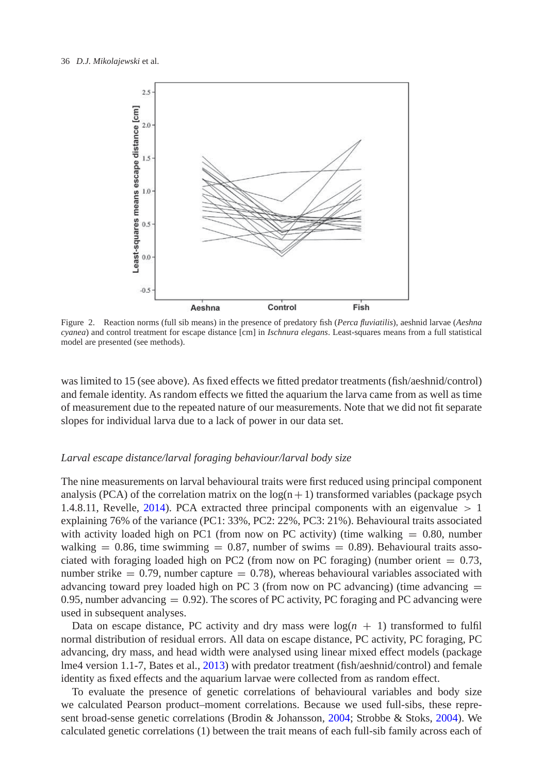

<span id="page-5-0"></span>Figure 2. Reaction norms (full sib means) in the presence of predatory fish (*Perca fluviatilis*), aeshnid larvae (*Aeshna cyanea*) and control treatment for escape distance [cm] in *Ischnura elegans*. Least-squares means from a full statistical model are presented (see methods).

was limited to 15 (see above). As fixed effects we fitted predator treatments (fish/aeshnid/control) and female identity. As random effects we fitted the aquarium the larva came from as well as time of measurement due to the repeated nature of our measurements. Note that we did not fit separate slopes for individual larva due to a lack of power in our data set.

#### *Larval escape distance/larval foraging behaviour/larval body size*

The nine measurements on larval behavioural traits were first reduced using principal component analysis (PCA) of the correlation matrix on the  $log(n+1)$  transformed variables (package psych 1.4.8.11, Revelle, [2014\)](#page-12-17). PCA extracted three principal components with an eigenvalue  $> 1$ explaining 76% of the variance (PC1: 33%, PC2: 22%, PC3: 21%). Behavioural traits associated with activity loaded high on PC1 (from now on PC activity) (time walking  $= 0.80$ , number walking  $= 0.86$ , time swimming  $= 0.87$ , number of swims  $= 0.89$ ). Behavioural traits associated with foraging loaded high on PC2 (from now on PC foraging) (number orient  $= 0.73$ , number strike  $= 0.79$ , number capture  $= 0.78$ ), whereas behavioural variables associated with advancing toward prey loaded high on PC 3 (from now on PC advancing) (time advancing  $=$ 0.95, number advancing  $= 0.92$ ). The scores of PC activity, PC foraging and PC advancing were used in subsequent analyses.

Data on escape distance, PC activity and dry mass were  $log(n + 1)$  transformed to fulfil normal distribution of residual errors. All data on escape distance, PC activity, PC foraging, PC advancing, dry mass, and head width were analysed using linear mixed effect models (package lme4 version 1.1-7, Bates et al., [2013\)](#page-11-19) with predator treatment (fish/aeshnid/control) and female identity as fixed effects and the aquarium larvae were collected from as random effect.

To evaluate the presence of genetic correlations of behavioural variables and body size we calculated Pearson product–moment correlations. Because we used full-sibs, these represent broad-sense genetic correlations (Brodin & Johansson, [2004;](#page-11-8) Strobbe & Stoks, [2004\)](#page-12-15). We calculated genetic correlations (1) between the trait means of each full-sib family across each of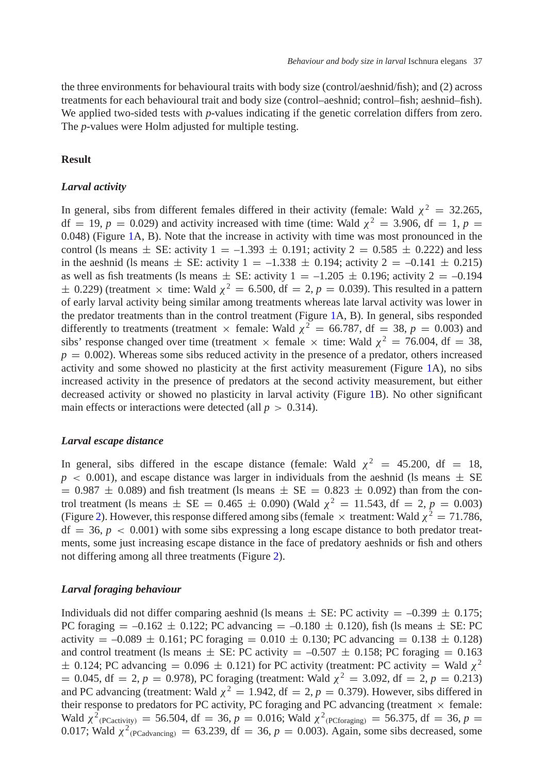the three environments for behavioural traits with body size (control/aeshnid/fish); and (2) across treatments for each behavioural trait and body size (control–aeshnid; control–fish; aeshnid–fish). We applied two-sided tests with *p*-values indicating if the genetic correlation differs from zero. The *p*-values were Holm adjusted for multiple testing.

## **Result**

## *Larval activity*

In general, sibs from different females differed in their activity (female: Wald  $\chi^2 = 32.265$ ,  $df = 19$ ,  $p = 0.029$ ) and activity increased with time (time: Wald  $\chi^2 = 3.906$ ,  $df = 1$ ,  $p = 1$ 0.048) (Figure [1A](#page-4-0), B). Note that the increase in activity with time was most pronounced in the control (ls means  $\pm$  SE: activity  $1 = -1.393 \pm 0.191$ ; activity  $2 = 0.585 \pm 0.222$ ) and less in the aeshnid (ls means  $\pm$  SE: activity 1 = -1.338  $\pm$  0.194; activity 2 = -0.141  $\pm$  0.215) as well as fish treatments (ls means  $\pm$  SE: activity 1 = -1.205  $\pm$  0.196; activity 2 = -0.194  $\pm$  0.229) (treatment  $\times$  time: Wald  $\chi^2$  = 6.500, df = 2, p = 0.039). This resulted in a pattern of early larval activity being similar among treatments whereas late larval activity was lower in the predator treatments than in the control treatment (Figure [1A](#page-4-0), B). In general, sibs responded differently to treatments (treatment  $\times$  female: Wald  $\chi^2 = 66.787$ , df = 38, p = 0.003) and sibs' response changed over time (treatment  $\times$  female  $\times$  time: Wald  $\chi^2 = 76.004$ , df = 38,  $p = 0.002$ ). Whereas some sibs reduced activity in the presence of a predator, others increased activity and some showed no plasticity at the first activity measurement (Figure [1A](#page-4-0)), no sibs increased activity in the presence of predators at the second activity measurement, but either decreased activity or showed no plasticity in larval activity (Figure [1B](#page-4-0)). No other significant main effects or interactions were detected (all  $p > 0.314$ ).

## *Larval escape distance*

In general, sibs differed in the escape distance (female: Wald  $\chi^2 = 45.200$ , df = 18,  $p \le 0.001$ ), and escape distance was larger in individuals from the aeshnid (ls means  $\pm$  SE  $= 0.987 \pm 0.089$ ) and fish treatment (ls means  $\pm$  SE  $= 0.823 \pm 0.092$ ) than from the control treatment (ls means  $\pm$  SE = 0.465  $\pm$  0.090) (Wald  $\chi^2$  = 11.543, df = 2, *p* = 0.003) (Figure [2\)](#page-5-0). However, this response differed among sibs (female  $\times$  treatment: Wald  $\chi^2 = 71.786$ ,  $df = 36$ ,  $p < 0.001$ ) with some sibs expressing a long escape distance to both predator treatments, some just increasing escape distance in the face of predatory aeshnids or fish and others not differing among all three treatments (Figure [2\)](#page-5-0).

#### *Larval foraging behaviour*

Individuals did not differ comparing aeshnid (ls means  $\pm$  SE: PC activity  $=$  -0.399  $\pm$  0.175; PC foraging  $= -0.162 \pm 0.122$ ; PC advancing  $= -0.180 \pm 0.120$ ), fish (1s means  $\pm$  SE: PC activity  $= -0.089 \pm 0.161$ ; PC foraging  $= 0.010 \pm 0.130$ ; PC advancing  $= 0.138 \pm 0.128$ ) and control treatment (ls means  $\pm$  SE: PC activity = -0.507  $\pm$  0.158; PC foraging = 0.163  $\pm$  0.124; PC advancing = 0.096  $\pm$  0.121) for PC activity (treatment: PC activity = Wald  $\chi^2$  $= 0.045$ , df  $= 2$ ,  $p = 0.978$ ), PC foraging (treatment: Wald  $\chi^2 = 3.092$ , df  $= 2$ ,  $p = 0.213$ ) and PC advancing (treatment: Wald  $\chi^2 = 1.942$ , df = 2,  $p = 0.379$ ). However, sibs differed in their response to predators for PC activity, PC foraging and PC advancing (treatment  $\times$  female: Wald  $\chi^2$ <sub>(PCactivity)</sub> = 56.504, df = 36, *p* = 0.016; Wald  $\chi^2$ <sub>(PCforaging</sub>) = 56.375, df = 36, *p* = 0.017; Wald  $\chi^2$ <sub>(PCadvancing)</sub> = 63.239, df = 36,  $p = 0.003$ ). Again, some sibs decreased, some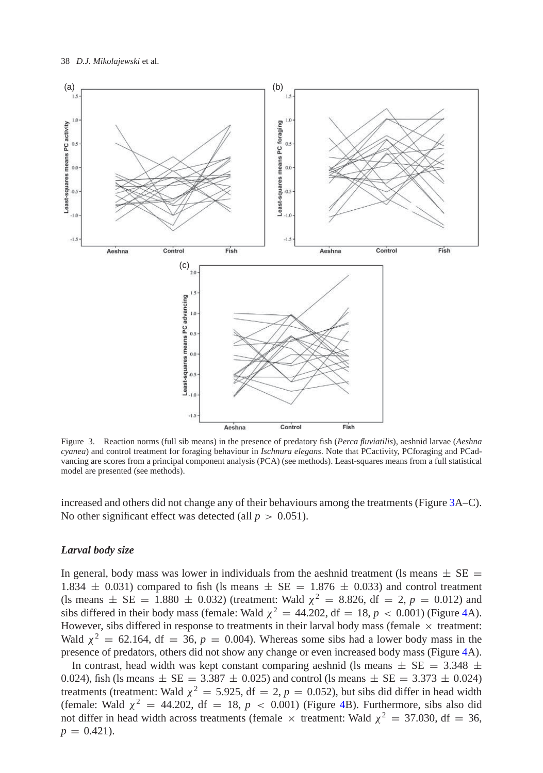

<span id="page-7-0"></span>Figure 3. Reaction norms (full sib means) in the presence of predatory fish (*Perca fluviatilis*), aeshnid larvae (*Aeshna cyanea*) and control treatment for foraging behaviour in *Ischnura elegans*. Note that PCactivity, PCforaging and PCadvancing are scores from a principal component analysis (PCA) (see methods). Least-squares means from a full statistical model are presented (see methods).

increased and others did not change any of their behaviours among the treatments (Figure [3A](#page-7-0)–C). No other significant effect was detected (all  $p > 0.051$ ).

### *Larval body size*

In general, body mass was lower in individuals from the aeshnid treatment (ls means  $\pm$  SE = 1.834  $\pm$  0.031) compared to fish (ls means  $\pm$  SE = 1.876  $\pm$  0.033) and control treatment (ls means  $\pm$  SE = 1.880  $\pm$  0.032) (treatment: Wald  $\chi^2$  = 8.826, df = 2, *p* = 0.012) and sibs differed in their body mass (female: Wald  $\chi^2 = 44.202$ , df = 18,  $p < 0.001$ ) (Figure [4A](#page-8-0)). However, sibs differed in response to treatments in their larval body mass (female  $\times$  treatment: Wald  $\chi^2$  = 62.164, df = 36,  $p = 0.004$ ). Whereas some sibs had a lower body mass in the presence of predators, others did not show any change or even increased body mass (Figure [4A](#page-8-0)).

In contrast, head width was kept constant comparing aeshnid (ls means  $\pm$  SE = 3.348  $\pm$ 0.024), fish (ls means  $\pm$  SE = 3.387  $\pm$  0.025) and control (ls means  $\pm$  SE = 3.373  $\pm$  0.024) treatments (treatment: Wald  $\chi^2 = 5.925$ , df = 2,  $p = 0.052$ ), but sibs did differ in head width (female: Wald  $\chi^2 = 44.202$ , df = 18,  $p < 0.001$ ) (Figure [4B](#page-8-0)). Furthermore, sibs also did not differ in head width across treatments (female  $\times$  treatment: Wald  $\chi^2 = 37.030$ , df = 36,  $p = 0.421$ .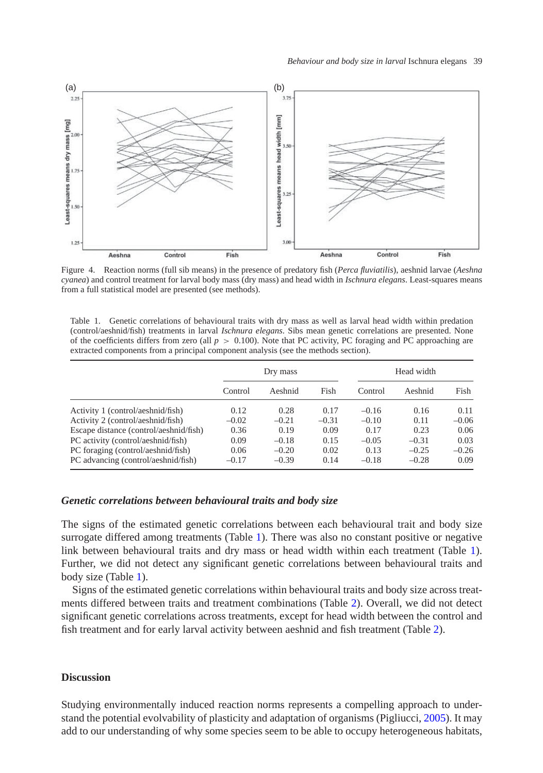

<span id="page-8-0"></span>Figure 4. Reaction norms (full sib means) in the presence of predatory fish (*Perca fluviatilis*), aeshnid larvae (*Aeshna cyanea*) and control treatment for larval body mass (dry mass) and head width in *Ischnura elegans*. Least-squares means from a full statistical model are presented (see methods).

<span id="page-8-1"></span>Table 1. Genetic correlations of behavioural traits with dry mass as well as larval head width within predation (control/aeshnid/fish) treatments in larval *Ischnura elegans*. Sibs mean genetic correlations are presented. None of the coefficients differs from zero (all  $p > 0.100$ ). Note that PC activity, PC foraging and PC approaching are extracted components from a principal component analysis (see the methods section).

|                                        | Dry mass |         |         | Head width |         |         |
|----------------------------------------|----------|---------|---------|------------|---------|---------|
|                                        | Control  | Aeshnid | Fish    | Control    | Aeshnid | Fish    |
| Activity 1 (control/aeshnid/fish)      | 0.12     | 0.28    | 0.17    | $-0.16$    | 0.16    | 0.11    |
| Activity 2 (control/aeshnid/fish)      | $-0.02$  | $-0.21$ | $-0.31$ | $-0.10$    | 0.11    | $-0.06$ |
| Escape distance (control/aeshnid/fish) | 0.36     | 0.19    | 0.09    | 0.17       | 0.23    | 0.06    |
| PC activity (control/aeshnid/fish)     | 0.09     | $-0.18$ | 0.15    | $-0.05$    | $-0.31$ | 0.03    |
| PC foraging (control/aeshnid/fish)     | 0.06     | $-0.20$ | 0.02    | 0.13       | $-0.25$ | $-0.26$ |
| PC advancing (control/aeshnid/fish)    | $-0.17$  | $-0.39$ | 0.14    | $-0.18$    | $-0.28$ | 0.09    |

## *Genetic correlations between behavioural traits and body size*

The signs of the estimated genetic correlations between each behavioural trait and body size surrogate differed among treatments (Table [1\)](#page-8-1). There was also no constant positive or negative link between behavioural traits and dry mass or head width within each treatment (Table [1\)](#page-8-1). Further, we did not detect any significant genetic correlations between behavioural traits and body size (Table [1\)](#page-8-1).

Signs of the estimated genetic correlations within behavioural traits and body size across treatments differed between traits and treatment combinations (Table [2\)](#page-9-0). Overall, we did not detect significant genetic correlations across treatments, except for head width between the control and fish treatment and for early larval activity between aeshnid and fish treatment (Table [2\)](#page-9-0).

#### **Discussion**

Studying environmentally induced reaction norms represents a compelling approach to understand the potential evolvability of plasticity and adaptation of organisms (Pigliucci, [2005\)](#page-12-6). It may add to our understanding of why some species seem to be able to occupy heterogeneous habitats,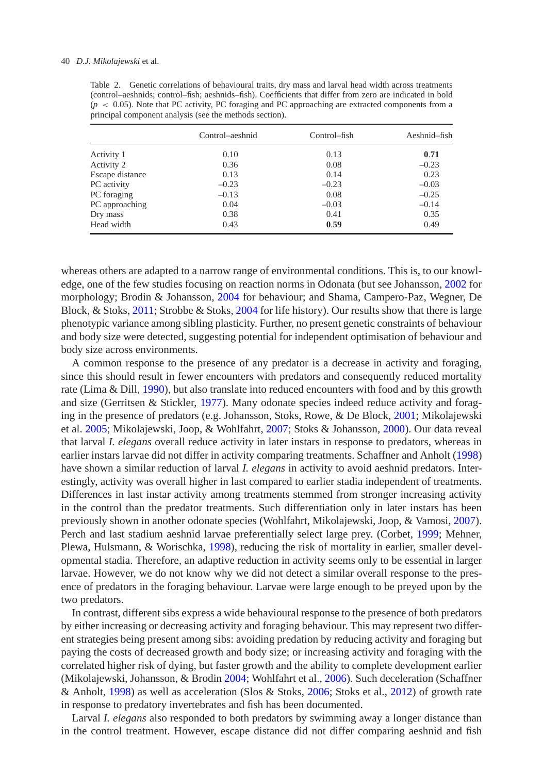|                 | Control-aeshnid | Control–fish | Aeshnid–fish |
|-----------------|-----------------|--------------|--------------|
| Activity 1      | 0.10            | 0.13         | 0.71         |
| Activity 2      | 0.36            | 0.08         | $-0.23$      |
| Escape distance | 0.13            | 0.14         | 0.23         |
| PC activity     | $-0.23$         | $-0.23$      | $-0.03$      |
| PC foraging     | $-0.13$         | 0.08         | $-0.25$      |
| PC approaching  | 0.04            | $-0.03$      | $-0.14$      |
| Dry mass        | 0.38            | 0.41         | 0.35         |
| Head width      | 0.43            | 0.59         | 0.49         |

<span id="page-9-0"></span>Table 2. Genetic correlations of behavioural traits, dry mass and larval head width across treatments (control–aeshnids; control–fish; aeshnids–fish). Coefficients that differ from zero are indicated in bold  $(p < 0.05)$ . Note that PC activity, PC foraging and PC approaching are extracted components from a principal component analysis (see the methods section).

whereas others are adapted to a narrow range of environmental conditions. This is, to our knowledge, one of the few studies focusing on reaction norms in Odonata (but see Johansson, [2002](#page-11-16) for morphology; Brodin & Johansson, [2004](#page-11-8) for behaviour; and Shama, Campero-Paz, Wegner, De Block, & Stoks, [2011;](#page-12-18) Strobbe & Stoks, [2004](#page-12-15) for life history). Our results show that there is large phenotypic variance among sibling plasticity. Further, no present genetic constraints of behaviour and body size were detected, suggesting potential for independent optimisation of behaviour and body size across environments.

A common response to the presence of any predator is a decrease in activity and foraging, since this should result in fewer encounters with predators and consequently reduced mortality rate (Lima & Dill, [1990\)](#page-11-20), but also translate into reduced encounters with food and by this growth and size (Gerritsen & Stickler, [1977\)](#page-11-21). Many odonate species indeed reduce activity and foraging in the presence of predators (e.g. Johansson, Stoks, Rowe, & De Block, [2001;](#page-11-22) Mikolajewski et al. [2005;](#page-12-10) Mikolajewski, Joop, & Wohlfahrt, [2007;](#page-12-19) Stoks & Johansson, [2000\)](#page-12-20). Our data reveal that larval *I. elegans* overall reduce activity in later instars in response to predators, whereas in earlier instars larvae did not differ in activity comparing treatments. Schaffner and Anholt [\(1998\)](#page-12-21) have shown a similar reduction of larval *I. elegans* in activity to avoid aeshnid predators. Interestingly, activity was overall higher in last compared to earlier stadia independent of treatments. Differences in last instar activity among treatments stemmed from stronger increasing activity in the control than the predator treatments. Such differentiation only in later instars has been previously shown in another odonate species (Wohlfahrt, Mikolajewski, Joop, & Vamosi, [2007\)](#page-13-5). Perch and last stadium aeshnid larvae preferentially select large prey. (Corbet, [1999;](#page-11-23) Mehner, Plewa, Hulsmann, & Worischka, [1998\)](#page-12-22), reducing the risk of mortality in earlier, smaller developmental stadia. Therefore, an adaptive reduction in activity seems only to be essential in larger larvae. However, we do not know why we did not detect a similar overall response to the presence of predators in the foraging behaviour. Larvae were large enough to be preyed upon by the two predators.

In contrast, different sibs express a wide behavioural response to the presence of both predators by either increasing or decreasing activity and foraging behaviour. This may represent two different strategies being present among sibs: avoiding predation by reducing activity and foraging but paying the costs of decreased growth and body size; or increasing activity and foraging with the correlated higher risk of dying, but faster growth and the ability to complete development earlier (Mikolajewski, Johansson, & Brodin [2004;](#page-11-8) Wohlfahrt et al., [2006\)](#page-13-2). Such deceleration (Schaffner & Anholt, [1998\)](#page-12-21) as well as acceleration (Slos & Stoks, [2006;](#page-12-23) Stoks et al., [2012\)](#page-12-12) of growth rate in response to predatory invertebrates and fish has been documented.

Larval *I. elegans* also responded to both predators by swimming away a longer distance than in the control treatment. However, escape distance did not differ comparing aeshnid and fish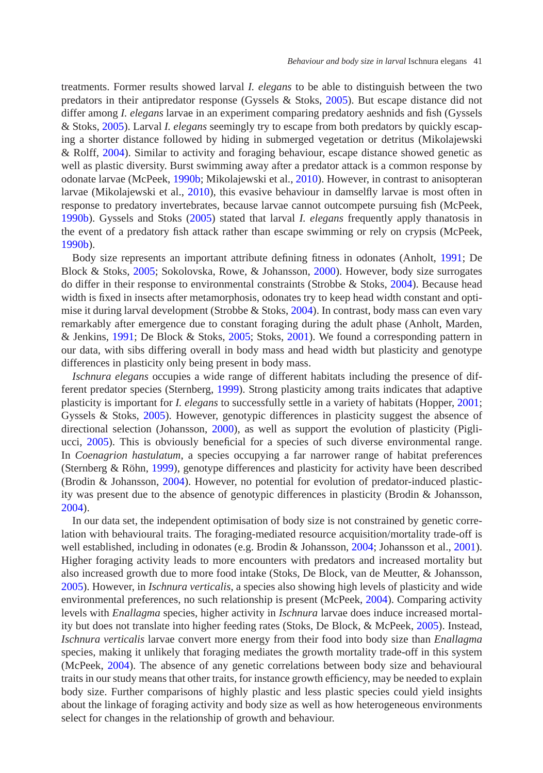treatments. Former results showed larval *I. elegans* to be able to distinguish between the two predators in their antipredator response (Gyssels & Stoks, [2005\)](#page-11-5). But escape distance did not differ among *I. elegans* larvae in an experiment comparing predatory aeshnids and fish (Gyssels & Stoks, [2005\)](#page-11-5). Larval *I. elegans* seemingly try to escape from both predators by quickly escaping a shorter distance followed by hiding in submerged vegetation or detritus (Mikolajewski & Rolff, [2004\)](#page-12-14). Similar to activity and foraging behaviour, escape distance showed genetic as well as plastic diversity. Burst swimming away after a predator attack is a common response by odonate larvae (McPeek, [1990b;](#page-11-24) Mikolajewski et al., [2010\)](#page-12-3). However, in contrast to anisopteran larvae (Mikolajewski et al., [2010\)](#page-12-3), this evasive behaviour in damselfly larvae is most often in response to predatory invertebrates, because larvae cannot outcompete pursuing fish (McPeek, [1990b\)](#page-11-24). Gyssels and Stoks [\(2005\)](#page-11-5) stated that larval *I. elegans* frequently apply thanatosis in the event of a predatory fish attack rather than escape swimming or rely on crypsis (McPeek, [1990b\)](#page-11-24).

Body size represents an important attribute defining fitness in odonates (Anholt, [1991;](#page-11-10) De Block & Stoks, [2005;](#page-11-11) Sokolovska, Rowe, & Johansson, [2000\)](#page-12-8). However, body size surrogates do differ in their response to environmental constraints (Strobbe  $\&$  Stoks, [2004\)](#page-12-15). Because head width is fixed in insects after metamorphosis, odonates try to keep head width constant and optimise it during larval development (Strobbe & Stoks, [2004\)](#page-12-15). In contrast, body mass can even vary remarkably after emergence due to constant foraging during the adult phase (Anholt, Marden, & Jenkins, [1991;](#page-11-25) De Block & Stoks, [2005;](#page-11-11) Stoks, [2001\)](#page-12-24). We found a corresponding pattern in our data, with sibs differing overall in body mass and head width but plasticity and genotype differences in plasticity only being present in body mass.

*Ischnura elegans* occupies a wide range of different habitats including the presence of different predator species (Sternberg, [1999\)](#page-12-9). Strong plasticity among traits indicates that adaptive plasticity is important for *I. elegans* to successfully settle in a variety of habitats (Hopper, [2001;](#page-11-6) Gyssels & Stoks, [2005\)](#page-11-5). However, genotypic differences in plasticity suggest the absence of directional selection (Johansson, [2000\)](#page-11-16), as well as support the evolution of plasticity (Pigliucci, [2005\)](#page-12-6). This is obviously beneficial for a species of such diverse environmental range. In *Coenagrion hastulatum*, a species occupying a far narrower range of habitat preferences (Sternberg & Röhn, [1999\)](#page-12-25), genotype differences and plasticity for activity have been described (Brodin & Johansson, [2004\)](#page-11-8). However, no potential for evolution of predator-induced plasticity was present due to the absence of genotypic differences in plasticity (Brodin & Johansson, [2004\)](#page-11-8).

In our data set, the independent optimisation of body size is not constrained by genetic correlation with behavioural traits. The foraging-mediated resource acquisition/mortality trade-off is well established, including in odonates (e.g. Brodin & Johansson, [2004;](#page-11-8) Johansson et al., [2001\)](#page-11-22). Higher foraging activity leads to more encounters with predators and increased mortality but also increased growth due to more food intake (Stoks, De Block, van de Meutter, & Johansson, [2005\)](#page-12-26). However, in *Ischnura verticalis*, a species also showing high levels of plasticity and wide environmental preferences, no such relationship is present (McPeek, [2004\)](#page-12-0). Comparing activity levels with *Enallagma* species, higher activity in *Ischnura* larvae does induce increased mortality but does not translate into higher feeding rates (Stoks, De Block, & McPeek, [2005\)](#page-12-26). Instead, *Ischnura verticalis* larvae convert more energy from their food into body size than *Enallagma* species, making it unlikely that foraging mediates the growth mortality trade-off in this system (McPeek, [2004\)](#page-12-0). The absence of any genetic correlations between body size and behavioural traits in our study means that other traits, for instance growth efficiency, may be needed to explain body size. Further comparisons of highly plastic and less plastic species could yield insights about the linkage of foraging activity and body size as well as how heterogeneous environments select for changes in the relationship of growth and behaviour.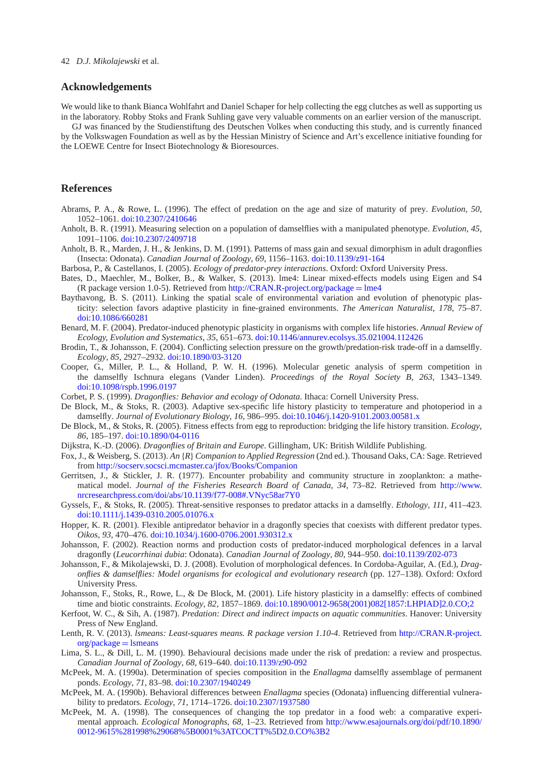#### **Acknowledgements**

We would like to thank Bianca Wohlfahrt and Daniel Schaper for help collecting the egg clutches as well as supporting us in the laboratory. Robby Stoks and Frank Suhling gave very valuable comments on an earlier version of the manuscript.

GJ was financed by the Studienstiftung des Deutschen Volkes when conducting this study, and is currently financed by the Volkswagen Foundation as well as by the Hessian Ministry of Science and Art's excellence initiative founding for the LOEWE Centre for Insect Biotechnology & Bioresources.

#### **References**

- <span id="page-11-9"></span>Abrams, P. A., & Rowe, L. (1996). The effect of predation on the age and size of maturity of prey. *Evolution*, *50*, 1052–1061. [doi:10.2307/2410646](http://dx.doi.org/10.2307/2410646)
- <span id="page-11-10"></span>Anholt, B. R. (1991). Measuring selection on a population of damselflies with a manipulated phenotype. *Evolution*, *45*, 1091–1106. [doi:10.2307/2409718](http://dx.doi.org/10.2307/2409718)
- <span id="page-11-25"></span>Anholt, B. R., Marden, J. H., & Jenkins, D. M. (1991). Patterns of mass gain and sexual dimorphism in adult dragonflies (Insecta: Odonata). *Canadian Journal of Zoology*, *69*, 1156–1163. [doi:10.1139/z91-164](http://dx.doi.org/10.1139/z91-164)
- Barbosa, P., & Castellanos, I. (2005). *Ecology of predator-prey interactions*. Oxford: Oxford University Press.
- <span id="page-11-19"></span><span id="page-11-0"></span>Bates, D., Maechler, M., Bolker, B., & Walker, S. (2013). lme4: Linear mixed-effects models using Eigen and S4 (R package version 1.0-5). Retrieved from [http://CRAN.R-project.org/package](http://CRAN.R-project.org/package=lme4) =  $l$ me4
- <span id="page-11-13"></span>Baythavong, B. S. (2011). Linking the spatial scale of environmental variation and evolution of phenotypic plasticity: selection favors adaptive plasticity in fine-grained environments. *The American Naturalist*, *178*, 75–87. [doi:10.1086/660281](http://dx.doi.org/10.1086/660281)
- <span id="page-11-1"></span>Benard, M. F. (2004). Predator-induced phenotypic plasticity in organisms with complex life histories. *Annual Review of Ecology, Evolution and Systematics*, *35*, 651–673. [doi:10.1146/annurev.ecolsys.35.021004.112426](http://dx.doi.org/10.1146/annurev.ecolsys.35.021004.112426)
- <span id="page-11-8"></span>Brodin, T., & Johansson, F. (2004). Conflicting selection pressure on the growth/predation-risk trade-off in a damselfly. *Ecology*, *85*, 2927–2932. [doi:10.1890/03-3120](http://dx.doi.org/10.1890/03-3120)
- <span id="page-11-14"></span>Cooper, G., Miller, P. L., & Holland, P. W. H. (1996). Molecular genetic analysis of sperm competition in the damselfly Ischnura elegans (Vander Linden). *Proceedings of the Royal Society B*, *263*, 1343–1349. [doi:10.1098/rspb.1996.0197](http://dx.doi.org/10.1098/rspb.1996.0197)
- Corbet, P. S. (1999). *Dragonflies: Behavior and ecology of Odonata*. Ithaca: Cornell University Press.
- <span id="page-11-23"></span><span id="page-11-15"></span>De Block, M., & Stoks, R. (2003). Adaptive sex-specific life history plasticity to temperature and photoperiod in a damselfly. *Journal of Evolutionary Biology*, *16*, 986–995. [doi:10.1046/j.1420-9101.2003.00581.x](http://dx.doi.org/10.1046/j.1420-9101.2003.00581.x)
- <span id="page-11-11"></span>De Block, M., & Stoks, R. (2005). Fitness effects from egg to reproduction: bridging the life history transition. *Ecology*, *86*, 185–197. [doi:10.1890/04-0116](http://dx.doi.org/10.1890/04-0116)
- Dijkstra, K.-D. (2006). *Dragonflies of Britain and Europe*. Gillingham, UK: British Wildlife Publishing.
- <span id="page-11-17"></span><span id="page-11-12"></span>Fox, J., & Weisberg, S. (2013). *An* {*R*} *Companion to Applied Regression* (2nd ed.). Thousand Oaks, CA: Sage. Retrieved from <http://socserv.socsci.mcmaster.ca/jfox/Books/Companion>
- <span id="page-11-21"></span>Gerritsen, J., & Stickler, J. R. (1977). Encounter probability and community structure in zooplankton: a mathematical model. *Journal of the Fisheries Research Board of Canada*, *34*, 73–82. Retrieved from [http://www.](http://www.nrcresearchpress.com/doi/abs/10.1139/f77-008#.VNyc58ar7Y0) [nrcresearchpress.com/doi/abs/10.1139/f77-008#.VNyc58ar7Y0](http://www.nrcresearchpress.com/doi/abs/10.1139/f77-008#.VNyc58ar7Y0)
- <span id="page-11-5"></span>Gyssels, F., & Stoks, R. (2005). Threat-sensitive responses to predator attacks in a damselfly. *Ethology*, *111*, 411–423. [doi:10.1111/j.1439-0310.2005.01076.x](http://dx.doi.org/10.1111/j.1439-0310.2005.01076.x)
- <span id="page-11-6"></span>Hopper, K. R. (2001). Flexible antipredator behavior in a dragonfly species that coexists with different predator types. *Oikos*, *93*, 470–476. [doi:10.1034/j.1600-0706.2001.930312.x](http://dx.doi.org/10.1034/j.1600-0706.2001.930312.x)
- <span id="page-11-16"></span>Johansson, F. (2002). Reaction norms and production costs of predator-induced morphological defences in a larval dragonfly (*Leucorrhinai dubia*: Odonata). *Canadian Journal of Zoology*, *80*, 944–950. [doi:10.1139/Z02-073](http://dx.doi.org/10.1139/Z02-073)
- <span id="page-11-3"></span>Johansson, F., & Mikolajewski, D. J. (2008). Evolution of morphological defences. In Cordoba-Aguilar, A. (Ed.), *Dragonflies & damselflies: Model organisms for ecological and evolutionary research* (pp. 127–138). Oxford: Oxford University Press.
- <span id="page-11-22"></span>Johansson, F., Stoks, R., Rowe, L., & De Block, M. (2001). Life history plasticity in a damselfly: effects of combined time and biotic constraints. *Ecology*, *82*, 1857–1869. [doi:10.1890/0012-9658\(2001\)082\[1857:LHPIAD\]2.0.CO;2](http://dx.doi.org/10.1890/0012-9658(2001)082[1857:LHPIAD]2.0.CO;2)
- <span id="page-11-2"></span>Kerfoot, W. C., & Sih, A. (1987). *Predation: Direct and indirect impacts on aquatic communities*. Hanover: University Press of New England.
- <span id="page-11-18"></span>Lenth, R. V. (2013). *lsmeans: Least-squares means. R package version 1.10-4*. Retrieved from [http://CRAN.R-project.](http://CRAN.R-project.org/package=lsmeans)  $org/package = lsmeans$  $org/package = lsmeans$
- <span id="page-11-20"></span>Lima, S. L., & Dill, L. M. (1990). Behavioural decisions made under the risk of predation: a review and prospectus. *Canadian Journal of Zoology*, *68*, 619–640. [doi:10.1139/z90-092](http://dx.doi.org/10.1139/z90-092)
- <span id="page-11-4"></span>McPeek, M. A. (1990a). Determination of species composition in the *Enallagma* damselfly assemblage of permanent ponds. *Ecology*, *71*, 83–98. [doi:10.2307/1940249](http://dx.doi.org/10.2307/1940249)
- <span id="page-11-24"></span>McPeek, M. A. (1990b). Behavioral differences between *Enallagma* species (Odonata) influencing differential vulnerability to predators. *Ecology*, *71*, 1714–1726. [doi:10.2307/1937580](http://dx.doi.org/10.2307/1937580)
- <span id="page-11-7"></span>McPeek, M. A. (1998). The consequences of changing the top predator in a food web: a comparative experimental approach. *Ecological Monographs*, *68*, 1–23. Retrieved from [http://www.esajournals.org/doi/pdf/10.1890/](http://www.esajournals.org/doi/pdf/10.1890/0012-9615%281998%29068%5B0001%3ATCOCTT%5D2.0.CO%3B2) [0012-9615%281998%29068%5B0001%3ATCOCTT%5D2.0.CO%3B2](http://www.esajournals.org/doi/pdf/10.1890/0012-9615%281998%29068%5B0001%3ATCOCTT%5D2.0.CO%3B2)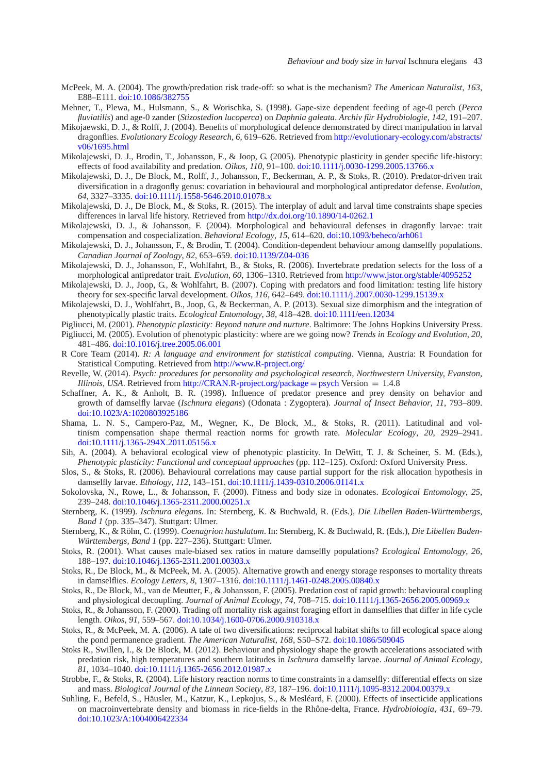- <span id="page-12-0"></span>McPeek, M. A. (2004). The growth/predation risk trade-off: so what is the mechanism? *The American Naturalist*, *163*, E88–E111. [doi:10.1086/382755](http://dx.doi.org/10.1086/382755)
- <span id="page-12-22"></span>Mehner, T., Plewa, M., Hulsmann, S., & Worischka, S. (1998). Gape-size dependent feeding of age-0 perch (*Perca fluviatilis*) and age-0 zander (*Stizostedion lucoperca*) on *Daphnia galeata*. *Archiv für Hydrobiologie*, *142*, 191–207.
- Mikojaewski, D. J., & Rolff, J. (2004). Benefits of morphological defence demonstrated by direct manipulation in larval dragonflies. *Evolutionary Ecology Research*, *6*, 619–626. Retrieved from [http://evolutionary-ecology.com/abstracts/](http://evolutionary-ecology.com/abstracts/v06/1695.html) [v06/1695.html](http://evolutionary-ecology.com/abstracts/v06/1695.html)
- <span id="page-12-10"></span>Mikolajewski, D. J., Brodin, T., Johansson, F., & Joop, G. (2005). Phenotypic plasticity in gender specific life-history: effects of food availability and predation. *Oikos*, *110*, 91–100. [doi:10.1111/j.0030-1299.2005.13766.x](http://dx.doi.org/10.1111/j.0030-1299.2005.13766.x)
- <span id="page-12-3"></span>Mikolajewski, D. J., De Block, M., Rolff, J., Johansson, F., Beckerman, A. P., & Stoks, R. (2010). Predator-driven trait diversification in a dragonfly genus: covariation in behavioural and morphological antipredator defense. *Evolution*, *64*, 3327–3335. [doi:10.1111/j.1558-5646.2010.01078.x](http://dx.doi.org/10.1111/j.1558-5646.2010.01078.x)
- <span id="page-12-11"></span>Mikolajewski, D. J., De Block, M., & Stoks, R. (2015). The interplay of adult and larval time constraints shape species differences in larval life history. Retrieved from <http://dx.doi.org/10.1890/14-0262.1>
- <span id="page-12-1"></span>Mikolajewski, D. J., & Johansson, F. (2004). Morphological and behavioural defenses in dragonfly larvae: trait compensation and cospecialization. *Behavioral Ecology*, *15*, 614–620. [doi:10.1093/beheco/arh061](http://dx.doi.org/10.1093/beheco/arh061)
- Mikolajewski, D. J., Johansson, F., & Brodin, T. (2004). Condition-dependent behaviour among damselfly populations. *Canadian Journal of Zoology*, *82*, 653–659. [doi:10.1139/Z04-036](http://dx.doi.org/10.1139/Z04-036)
- <span id="page-12-2"></span>Mikolajewski, D. J., Johansson, F., Wohlfahrt, B., & Stoks, R. (2006). Invertebrate predation selects for the loss of a morphological antipredator trait. *Evolution*, *60*, 1306–1310. Retrieved from <http://www.jstor.org/stable/4095252>
- <span id="page-12-19"></span>Mikolajewski, D. J., Joop, G., & Wohlfahrt, B. (2007). Coping with predators and food limitation: testing life history theory for sex-specific larval development. *Oikos*, *116*, 642–649. [doi:10.1111/j.2007.0030-1299.15139.x](http://dx.doi.org/10.1111/j.2007.0030-1299.15139.x)
- <span id="page-12-14"></span>Mikolajewski, D. J., Wohlfahrt, B., Joop, G., & Beckerman, A. P. (2013). Sexual size dimorphism and the integration of phenotypically plastic traits*. Ecological Entomology*, *38*, 418–428. [doi:10.1111/een.12034](http://dx.doi.org/10.1111/een.12034)
- Pigliucci, M. (2001). *Phenotypic plasticity: Beyond nature and nurture*. Baltimore: The Johns Hopkins University Press.
- <span id="page-12-6"></span><span id="page-12-5"></span>Pigliucci, M. (2005). Evolution of phenotypic plasticity: where are we going now? *Trends in Ecology and Evolution*, *20*, 481–486. [doi:10.1016/j.tree.2005.06.001](http://dx.doi.org/10.1016/j.tree.2005.06.001)
- <span id="page-12-16"></span>R Core Team (2014). *R: A language and environment for statistical computing*. Vienna, Austria: R Foundation for Statistical Computing. Retrieved from <http://www.R-project.org/>
- <span id="page-12-17"></span>Revelle, W. (2014). *Psych: procedures for personality and psychological research, Northwestern University, Evanston, Illinois, USA*. Retrieved from [http://CRAN.R-project.org/package](http://CRAN.R-project.org/package=psych) = psych Version =  $1.4.8$
- <span id="page-12-21"></span>Schaffner, A. K., & Anholt, B. R. (1998). Influence of predator presence and prey density on behavior and growth of damselfly larvae (*Ischnura elegans*) (Odonata : Zygoptera). *Journal of Insect Behavior*, *11*, 793–809. [doi:10.1023/A:1020803925186](http://dx.doi.org/10.1023/A:1020803925186)
- <span id="page-12-18"></span>Shama, L. N. S., Campero-Paz, M., Wegner, K., De Block, M., & Stoks, R. (2011). Latitudinal and voltinism compensation shape thermal reaction norms for growth rate. *Molecular Ecology*, *20*, 2929–2941. [doi:10.1111/j.1365-294X.2011.05156.x](http://dx.doi.org/10.1111/j.1365-294X.2011.05156.x)
- <span id="page-12-7"></span>Sih, A. (2004). A behavioral ecological view of phenotypic plasticity. In DeWitt, T. J. & Scheiner, S. M. (Eds.), *Phenotypic plasticity: Functional and conceptual approaches* (pp. 112–125). Oxford: Oxford University Press.
- <span id="page-12-23"></span>Slos, S., & Stoks, R. (2006). Behavioural correlations may cause partial support for the risk allocation hypothesis in damselfly larvae. *Ethology*, *112*, 143–151. [doi:10.1111/j.1439-0310.2006.01141.x](http://dx.doi.org/10.1111/j.1439-0310.2006.01141.x)
- <span id="page-12-8"></span>Sokolovska, N., Rowe, L., & Johansson, F. (2000). Fitness and body size in odonates. *Ecological Entomology*, *25*, 239–248. [doi:10.1046/j.1365-2311.2000.00251.x](http://dx.doi.org/10.1046/j.1365-2311.2000.00251.x)
- <span id="page-12-9"></span>Sternberg, K. (1999). *Ischnura elegans*. In: Sternberg, K. & Buchwald, R. (Eds.), *Die Libellen Baden-Württembergs, Band 1* (pp. 335–347). Stuttgart: Ulmer.
- <span id="page-12-25"></span>Sternberg, K., & Röhn, C. (1999). *Coenagrion hastulatum*. In: Sternberg, K. & Buchwald, R. (Eds.), *Die Libellen Baden-Württembergs, Band 1* (pp. 227–236). Stuttgart: Ulmer.
- <span id="page-12-24"></span>Stoks, R. (2001). What causes male-biased sex ratios in mature damselfly populations? *Ecological Entomology*, *26*, 188–197. [doi:10.1046/j.1365-2311.2001.00303.x](http://dx.doi.org/10.1046/j.1365-2311.2001.00303.x)
- <span id="page-12-26"></span>Stoks, R., De Block, M., & McPeek, M. A. (2005). Alternative growth and energy storage responses to mortality threats in damselflies. *Ecology Letters*, *8*, 1307–1316. [doi:10.1111/j.1461-0248.2005.00840.x](http://dx.doi.org/10.1111/j.1461-0248.2005.00840.x)
- Stoks, R., De Block, M., van de Meutter, F., & Johansson, F. (2005). Predation cost of rapid growth: behavioural coupling and physiological decoupling. *Journal of Animal Ecology*, *74*, 708–715. [doi:10.1111/j.1365-2656.2005.00969.x](http://dx.doi.org/10.1111/j.1365-2656.2005.00969.x)
- <span id="page-12-20"></span>Stoks, R., & Johansson, F. (2000). Trading off mortality risk against foraging effort in damselflies that differ in life cycle length. *Oikos*, *91*, 559–567. [doi:10.1034/j.1600-0706.2000.910318.x](http://dx.doi.org/10.1034/j.1600-0706.2000.910318.x)
- <span id="page-12-4"></span>Stoks, R., & McPeek, M. A. (2006). A tale of two diversifications: reciprocal habitat shifts to fill ecological space along the pond permanence gradient. *The American Naturalist*, *168*, S50–S72. [doi:10.1086/509045](http://dx.doi.org/10.1086/509045)
- <span id="page-12-12"></span>Stoks R., Swillen, I., & De Block, M. (2012). Behaviour and physiology shape the growth accelerations associated with predation risk, high temperatures and southern latitudes in *Ischnura* damselfly larvae. *Journal of Animal Ecology*, *81*, 1034–1040. [doi:10.1111/j.1365-2656.2012.01987.x](http://dx.doi.org/10.1111/j.1365-2656.2012.01987.x)
- <span id="page-12-15"></span>Strobbe, F., & Stoks, R. (2004). Life history reaction norms to time constraints in a damselfly: differential effects on size and mass. *Biological Journal of the Linnean Society*, *83*, 187–196. [doi:10.1111/j.1095-8312.2004.00379.x](http://dx.doi.org/10.1111/j.1095-8312.2004.00379.x)
- <span id="page-12-13"></span>Suhling, F., Befeld, S., Häusler, M., Katzur, K., Lepkojus, S., & Mesléard, F. (2000). Effects of insecticide applications on macroinvertebrate density and biomass in rice-fields in the Rhône-delta, France. *Hydrobiologia*, *431*, 69–79. [doi:10.1023/A:1004006422334](http://dx.doi.org/10.1023/A:1004006422334)